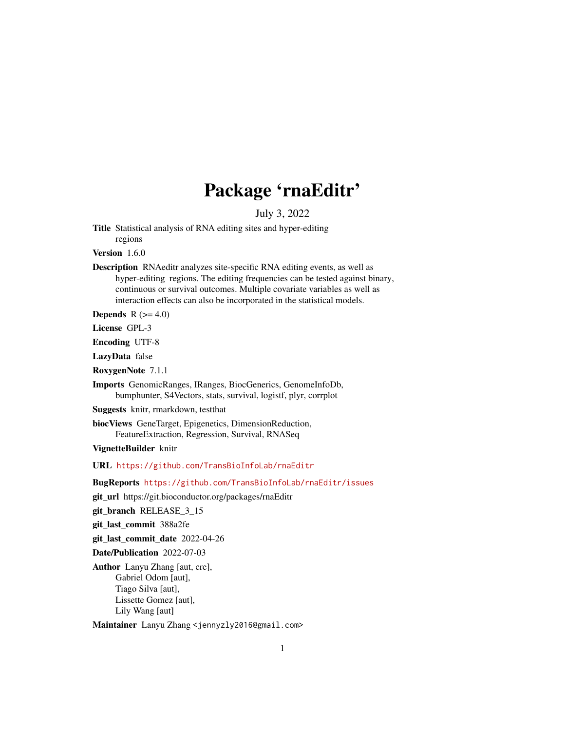# Package 'rnaEditr'

July 3, 2022

<span id="page-0-0"></span>Title Statistical analysis of RNA editing sites and hyper-editing regions

Version 1.6.0

Description RNAeditr analyzes site-specific RNA editing events, as well as hyper-editing regions. The editing frequencies can be tested against binary, continuous or survival outcomes. Multiple covariate variables as well as interaction effects can also be incorporated in the statistical models.

Depends  $R$  ( $>= 4.0$ )

License GPL-3

Encoding UTF-8

LazyData false

RoxygenNote 7.1.1

Imports GenomicRanges, IRanges, BiocGenerics, GenomeInfoDb, bumphunter, S4Vectors, stats, survival, logistf, plyr, corrplot

Suggests knitr, rmarkdown, testthat

biocViews GeneTarget, Epigenetics, DimensionReduction, FeatureExtraction, Regression, Survival, RNASeq

VignetteBuilder knitr

URL <https://github.com/TransBioInfoLab/rnaEditr>

BugReports <https://github.com/TransBioInfoLab/rnaEditr/issues>

git\_url https://git.bioconductor.org/packages/rnaEditr

git\_branch RELEASE\_3\_15

git\_last\_commit 388a2fe

git\_last\_commit\_date 2022-04-26

Date/Publication 2022-07-03

Author Lanyu Zhang [aut, cre], Gabriel Odom [aut], Tiago Silva [aut], Lissette Gomez [aut], Lily Wang [aut]

Maintainer Lanyu Zhang <jennyzly2016@gmail.com>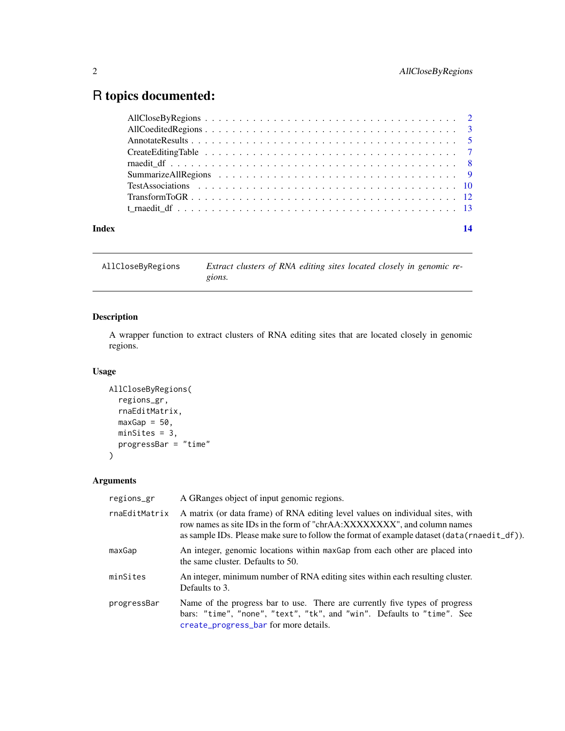## <span id="page-1-0"></span>R topics documented:

| Index | 14 |
|-------|----|
|       |    |
|       |    |
|       |    |
|       |    |
|       |    |
|       |    |
|       |    |
|       |    |
|       |    |

<span id="page-1-1"></span>AllCloseByRegions *Extract clusters of RNA editing sites located closely in genomic regions.*

#### Description

A wrapper function to extract clusters of RNA editing sites that are located closely in genomic regions.

#### Usage

```
AllCloseByRegions(
  regions_gr,
  rnaEditMatrix,
  maxGap = 50,
  minSites = 3,
  progressBar = "time"
)
```
Arguments

| regions_gr    | A GRanges object of input genomic regions.                                                                                                                                                                                                                   |
|---------------|--------------------------------------------------------------------------------------------------------------------------------------------------------------------------------------------------------------------------------------------------------------|
| rnaEditMatrix | A matrix (or data frame) of RNA editing level values on individual sites, with<br>row names as site IDs in the form of "chrAA:XXXXXXXX", and column names<br>as sample IDs. Please make sure to follow the format of example dataset $(data(rnaedit_d f))$ . |
| maxGap        | An integer, genomic locations within maxGap from each other are placed into<br>the same cluster. Defaults to 50.                                                                                                                                             |
| minSites      | An integer, minimum number of RNA editing sites within each resulting cluster.<br>Defaults to 3.                                                                                                                                                             |
| progressBar   | Name of the progress bar to use. There are currently five types of progress<br>bars: "time", "none", "text", "tk", and "win". Defaults to "time". See<br>create_progress_bar for more details.                                                               |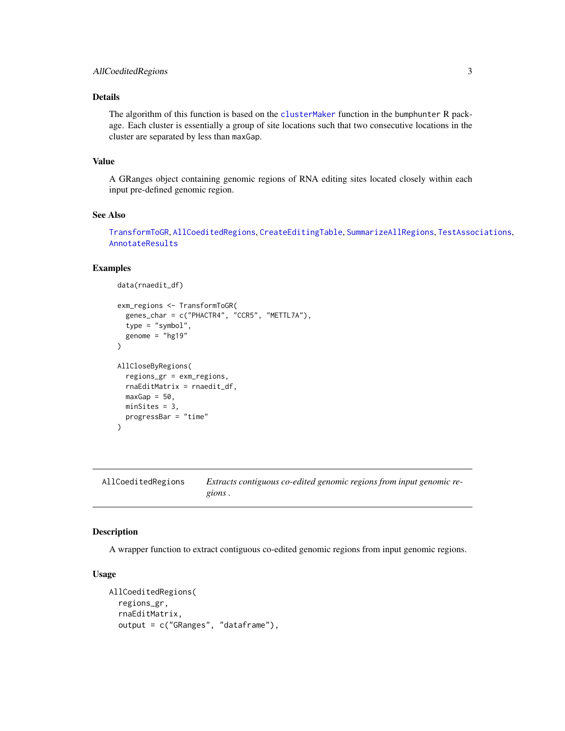#### <span id="page-2-0"></span>Details

The algorithm of this function is based on the [clusterMaker](#page-0-0) function in the bumphunter R package. Each cluster is essentially a group of site locations such that two consecutive locations in the cluster are separated by less than maxGap.

#### Value

A GRanges object containing genomic regions of RNA editing sites located closely within each input pre-defined genomic region.

#### See Also

[TransformToGR](#page-11-1), [AllCoeditedRegions](#page-2-1), [CreateEditingTable](#page-6-1), [SummarizeAllRegions](#page-8-1), [TestAssociations](#page-9-1), [AnnotateResults](#page-4-1)

#### Examples

```
data(rnaedit_df)
exm_regions <- TransformToGR(
  genes_char = c("PHACTR4", "CCR5", "METTL7A"),
  type = "symbol",
  genome = "hg19"
)
AllCloseByRegions(
  regions_gr = exm_regions,
 rnaEditMatrix = rnaedit_df,
 maxGap = 50,
 minSites = 3,
 progressBar = "time"
\lambda
```
<span id="page-2-1"></span>AllCoeditedRegions *Extracts contiguous co-edited genomic regions from input genomic regions .*

#### Description

A wrapper function to extract contiguous co-edited genomic regions from input genomic regions.

#### Usage

```
AllCoeditedRegions(
  regions_gr,
  rnaEditMatrix,
  output = c("GRanges", "dataframe"),
```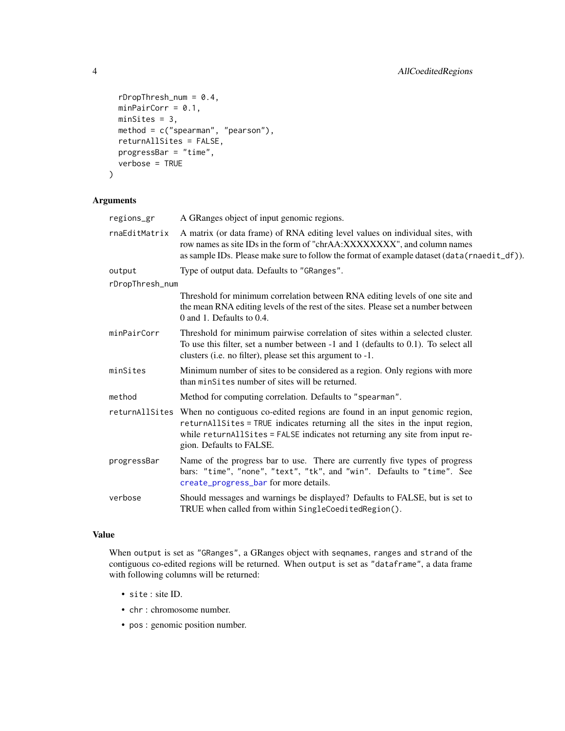```
rDropThresh\_num = 0.4,
 minPairCorr = 0.1,
 minSites = 3,
 method = c("spearman", "pearson"),
 returnAllSites = FALSE,
 progressBar = "time",
 verbose = TRUE
\mathcal{L}
```
#### Arguments

| regions_gr      | A GRanges object of input genomic regions.                                                                                                                                                                                                                             |
|-----------------|------------------------------------------------------------------------------------------------------------------------------------------------------------------------------------------------------------------------------------------------------------------------|
| rnaEditMatrix   | A matrix (or data frame) of RNA editing level values on individual sites, with<br>row names as site IDs in the form of "chrAA:XXXXXXXX", and column names<br>as sample IDs. Please make sure to follow the format of example dataset (data(rnaedit_df)).               |
| output          | Type of output data. Defaults to "GRanges".                                                                                                                                                                                                                            |
| rDropThresh_num |                                                                                                                                                                                                                                                                        |
|                 | Threshold for minimum correlation between RNA editing levels of one site and<br>the mean RNA editing levels of the rest of the sites. Please set a number between<br>0 and 1. Defaults to 0.4.                                                                         |
| minPairCorr     | Threshold for minimum pairwise correlation of sites within a selected cluster.<br>To use this filter, set a number between -1 and 1 (defaults to 0.1). To select all<br>clusters (i.e. no filter), please set this argument to -1.                                     |
| minSites        | Minimum number of sites to be considered as a region. Only regions with more<br>than minSites number of sites will be returned.                                                                                                                                        |
| method          | Method for computing correlation. Defaults to "spearman".                                                                                                                                                                                                              |
| returnAllSites  | When no contiguous co-edited regions are found in an input genomic region,<br>returnAllSites = TRUE indicates returning all the sites in the input region,<br>while returnAllSites = FALSE indicates not returning any site from input re-<br>gion. Defaults to FALSE. |
| progressBar     | Name of the progress bar to use. There are currently five types of progress<br>bars: "time", "none", "text", "tk", and "win". Defaults to "time". See<br>create_progress_bar for more details.                                                                         |
| verbose         | Should messages and warnings be displayed? Defaults to FALSE, but is set to<br>TRUE when called from within SingleCoeditedRegion().                                                                                                                                    |

#### Value

When output is set as "GRanges", a GRanges object with seqnames, ranges and strand of the contiguous co-edited regions will be returned. When output is set as "dataframe", a data frame with following columns will be returned:

- site : site ID.
- chr : chromosome number.
- pos : genomic position number.

<span id="page-3-0"></span>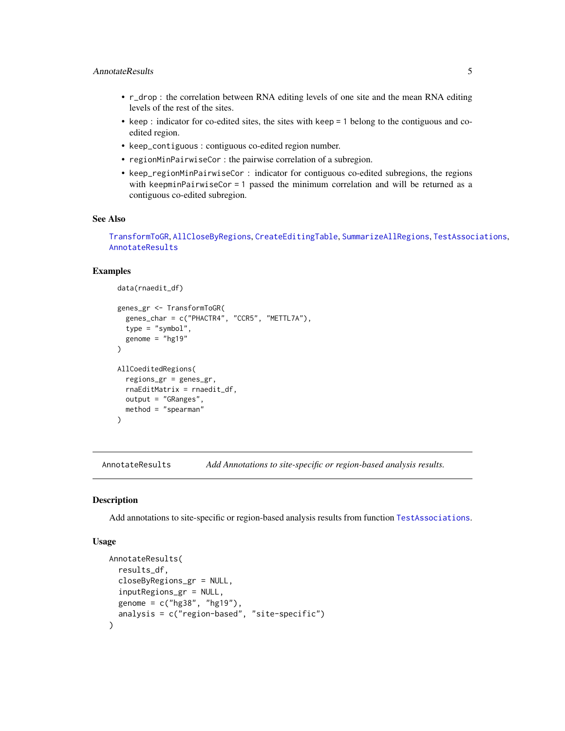#### <span id="page-4-0"></span>AnnotateResults 5

- r\_drop : the correlation between RNA editing levels of one site and the mean RNA editing levels of the rest of the sites.
- keep : indicator for co-edited sites, the sites with keep = 1 belong to the contiguous and coedited region.
- keep\_contiguous : contiguous co-edited region number.
- regionMinPairwiseCor : the pairwise correlation of a subregion.
- keep\_regionMinPairwiseCor : indicator for contiguous co-edited subregions, the regions with keepminPairwiseCor = 1 passed the minimum correlation and will be returned as a contiguous co-edited subregion.

#### See Also

[TransformToGR](#page-11-1), [AllCloseByRegions](#page-1-1), [CreateEditingTable](#page-6-1), [SummarizeAllRegions](#page-8-1), [TestAssociations](#page-9-1), [AnnotateResults](#page-4-1)

#### Examples

```
data(rnaedit_df)
genes_gr <- TransformToGR(
  genes_char = c("PHACTR4", "CCR5", "METTL7A"),
  type = "symbol",
  genome = "hg19"
)
AllCoeditedRegions(
  regions_gr = genes_gr,
  rnaEditMatrix = rnaedit_df,
  output = "GRanges",
  method = "spearman"
)
```
<span id="page-4-1"></span>AnnotateResults *Add Annotations to site-specific or region-based analysis results.*

#### Description

Add annotations to site-specific or region-based analysis results from function [TestAssociations](#page-9-1).

#### Usage

```
AnnotateResults(
  results_df,
  closeByRegions_gr = NULL,
  inputRegions_gr = NULL,
  genome = c("hg38", "hg19"),analysis = c("region-based", "site-specific")
)
```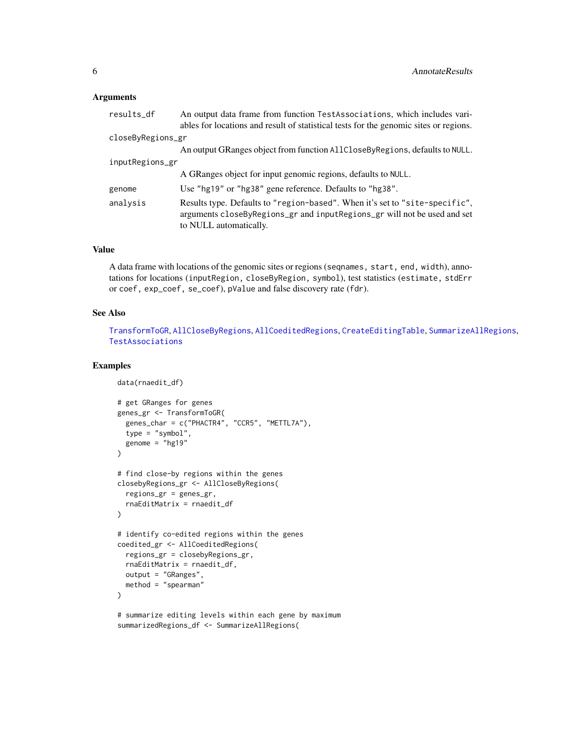#### <span id="page-5-0"></span>**Arguments**

| results_df        | An output data frame from function TestAssociations, which includes vari-<br>ables for locations and result of statistical tests for the genomic sites or regions.                |
|-------------------|-----------------------------------------------------------------------------------------------------------------------------------------------------------------------------------|
| closeByRegions_gr |                                                                                                                                                                                   |
|                   | An output GRanges object from function AllCloseByRegions, defaults to NULL.                                                                                                       |
| inputRegions_gr   |                                                                                                                                                                                   |
|                   | A GRanges object for input genomic regions, defaults to NULL.                                                                                                                     |
| genome            | Use "hg19" or "hg38" gene reference. Defaults to "hg38".                                                                                                                          |
| analysis          | Results type. Defaults to "region-based". When it's set to "site-specific",<br>arguments closeByRegions_gr and inputRegions_gr will not be used and set<br>to NULL automatically. |

#### Value

A data frame with locations of the genomic sites or regions (seqnames, start, end, width), annotations for locations (inputRegion, closeByRegion, symbol), test statistics (estimate, stdErr or coef, exp\_coef, se\_coef), pValue and false discovery rate (fdr).

#### See Also

[TransformToGR](#page-11-1), [AllCloseByRegions](#page-1-1), [AllCoeditedRegions](#page-2-1), [CreateEditingTable](#page-6-1), [SummarizeAllRegions](#page-8-1), [TestAssociations](#page-9-1)

#### Examples

```
data(rnaedit_df)
# get GRanges for genes
genes_gr <- TransformToGR(
  genes_char = c("PHACTR4", "CCR5", "METTL7A"),
 type = "symbol",
 genome = "hg19"
)
# find close-by regions within the genes
closebyRegions_gr <- AllCloseByRegions(
  regions_gr = genes_gr,
  rnaEditMatrix = rnaedit_df
\lambda# identify co-edited regions within the genes
coedited_gr <- AllCoeditedRegions(
  regions_gr = closebyRegions_gr,
 rnaEditMatrix = rnaedit_df,
  output = "GRanges",
  method = "spearman"
\lambda# summarize editing levels within each gene by maximum
summarizedRegions_df <- SummarizeAllRegions(
```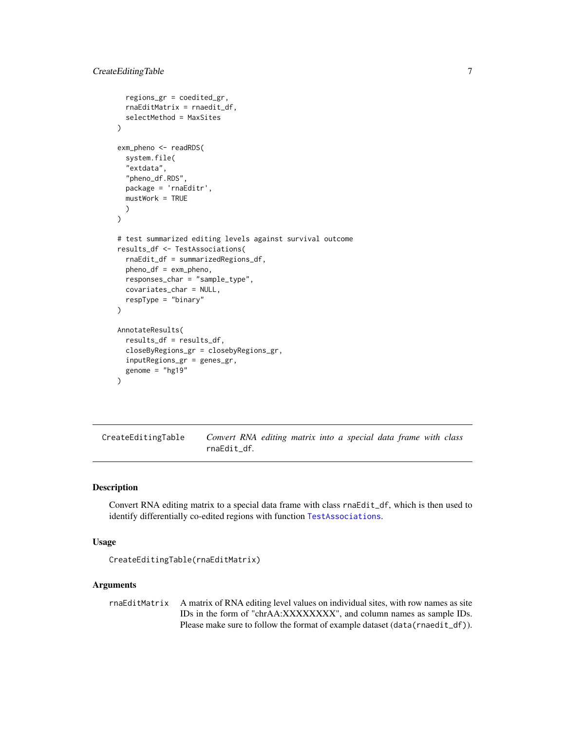```
regions_gr = coedited_gr,
  rnaEditMatrix = rnaedit_df,
  selectMethod = MaxSites
)
exm_pheno <- readRDS(
  system.file(
  "extdata",
  "pheno_df.RDS",
 package = 'rnaEditr',
 mustWork = TRUE
 )
)
# test summarized editing levels against survival outcome
results_df <- TestAssociations(
  rnaEdit_df = summarizedRegions_df,
  pheno_df = exm_pheno,
 responses_char = "sample_type",
  covariates_char = NULL,
 respType = "binary"
\lambdaAnnotateResults(
 results_df = results_df,
  closeByRegions_gr = closebyRegions_gr,
  inputRegions_gr = genes_gr,
  genome = "hg19"
)
```
<span id="page-6-1"></span>CreateEditingTable *Convert RNA editing matrix into a special data frame with class* rnaEdit\_df*.*

#### Description

Convert RNA editing matrix to a special data frame with class rnaEdit\_df, which is then used to identify differentially co-edited regions with function [TestAssociations](#page-9-1).

#### Usage

```
CreateEditingTable(rnaEditMatrix)
```
#### Arguments

rnaEditMatrix A matrix of RNA editing level values on individual sites, with row names as site IDs in the form of "chrAA:XXXXXXXX", and column names as sample IDs. Please make sure to follow the format of example dataset (data(rnaedit\_df)).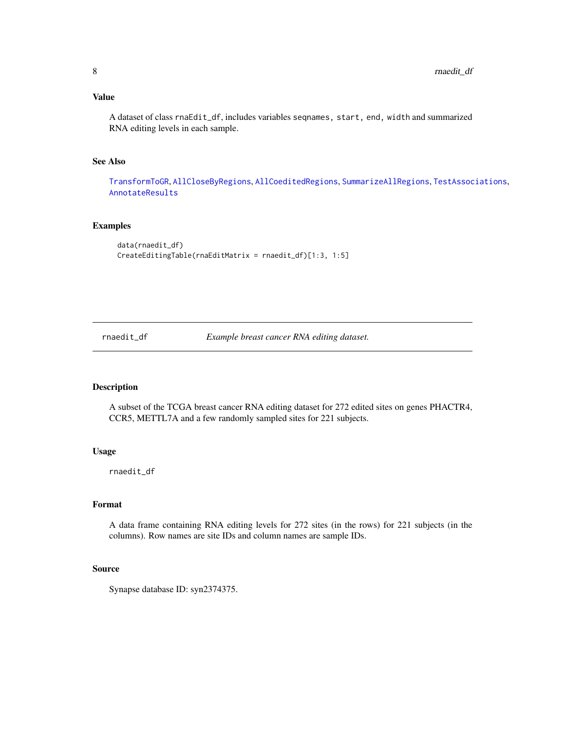#### <span id="page-7-0"></span>Value

A dataset of class rnaEdit\_df, includes variables seqnames, start, end, width and summarized RNA editing levels in each sample.

#### See Also

[TransformToGR](#page-11-1), [AllCloseByRegions](#page-1-1), [AllCoeditedRegions](#page-2-1), [SummarizeAllRegions](#page-8-1), [TestAssociations](#page-9-1), [AnnotateResults](#page-4-1)

#### Examples

```
data(rnaedit_df)
CreateEditingTable(rnaEditMatrix = rnaedit_df)[1:3, 1:5]
```
rnaedit\_df *Example breast cancer RNA editing dataset.*

#### Description

A subset of the TCGA breast cancer RNA editing dataset for 272 edited sites on genes PHACTR4, CCR5, METTL7A and a few randomly sampled sites for 221 subjects.

#### Usage

rnaedit\_df

#### Format

A data frame containing RNA editing levels for 272 sites (in the rows) for 221 subjects (in the columns). Row names are site IDs and column names are sample IDs.

#### Source

Synapse database ID: syn2374375.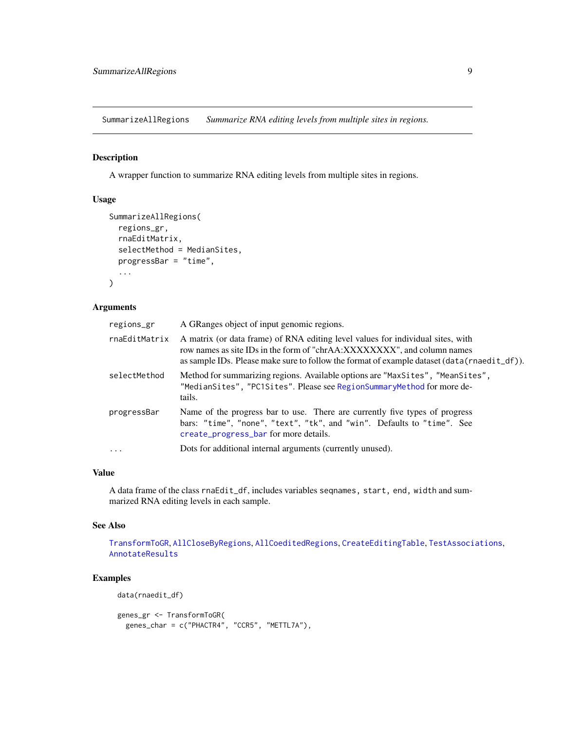<span id="page-8-1"></span><span id="page-8-0"></span>SummarizeAllRegions *Summarize RNA editing levels from multiple sites in regions.*

#### Description

A wrapper function to summarize RNA editing levels from multiple sites in regions.

#### Usage

```
SummarizeAllRegions(
  regions_gr,
  rnaEditMatrix,
  selectMethod = MedianSites,
 progressBar = "time",
  ...
)
```
#### Arguments

| A matrix (or data frame) of RNA editing level values for individual sites, with<br>rnaEditMatrix<br>row names as site IDs in the form of "chrAA:XXXXXXX", and column names<br>Method for summarizing regions. Available options are "MaxSites", "MeanSites",<br>selectMethod<br>"MedianSites", "PC1Sites". Please see RegionSummaryMethod for more de-<br>tails.<br>Name of the progress bar to use. There are currently five types of progress<br>progressBar<br>bars: "time", "none", "text", "tk", and "win". Defaults to "time". See<br>create_progress_bar for more details.<br>Dots for additional internal arguments (currently unused).<br>$\cdots$ | regions_gr | A GRanges object of input genomic regions.                                                     |
|-------------------------------------------------------------------------------------------------------------------------------------------------------------------------------------------------------------------------------------------------------------------------------------------------------------------------------------------------------------------------------------------------------------------------------------------------------------------------------------------------------------------------------------------------------------------------------------------------------------------------------------------------------------|------------|------------------------------------------------------------------------------------------------|
|                                                                                                                                                                                                                                                                                                                                                                                                                                                                                                                                                                                                                                                             |            | as sample IDs. Please make sure to follow the format of example dataset $(data(rnaedit_df))$ . |
|                                                                                                                                                                                                                                                                                                                                                                                                                                                                                                                                                                                                                                                             |            |                                                                                                |
|                                                                                                                                                                                                                                                                                                                                                                                                                                                                                                                                                                                                                                                             |            |                                                                                                |
|                                                                                                                                                                                                                                                                                                                                                                                                                                                                                                                                                                                                                                                             |            |                                                                                                |

#### Value

A data frame of the class rnaEdit\_df, includes variables seqnames, start, end, width and summarized RNA editing levels in each sample.

#### See Also

[TransformToGR](#page-11-1), [AllCloseByRegions](#page-1-1), [AllCoeditedRegions](#page-2-1), [CreateEditingTable](#page-6-1), [TestAssociations](#page-9-1), [AnnotateResults](#page-4-1)

#### Examples

data(rnaedit\_df)

```
genes_gr <- TransformToGR(
 genes_char = c("PHACTR4", "CCR5", "METTL7A"),
```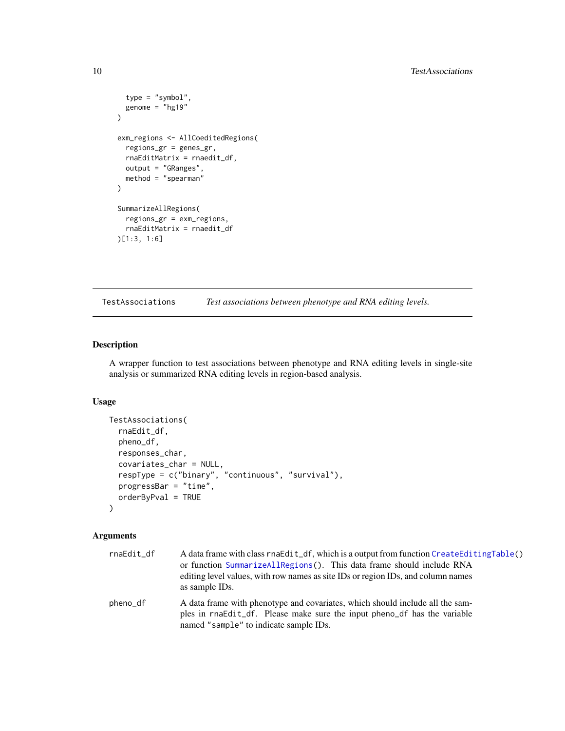```
type = "symbol",
 genome = "hg19"
)
exm_regions <- AllCoeditedRegions(
 regions_gr = genes_gr,
 rnaEditMatrix = rnaedit_df,
 output = "GRanges",
 method = "spearman"
\lambdaSummarizeAllRegions(
 regions_gr = exm_regions,
  rnaEditMatrix = rnaedit_df
)[1:3, 1:6]
```
<span id="page-9-1"></span>TestAssociations *Test associations between phenotype and RNA editing levels.*

#### Description

A wrapper function to test associations between phenotype and RNA editing levels in single-site analysis or summarized RNA editing levels in region-based analysis.

#### Usage

```
TestAssociations(
  rnaEdit_df,
  pheno_df,
  responses_char,
  covariates_char = NULL,
  respType = c("binary", "continuous", "survival"),
 progressBar = "time",
  orderByPval = TRUE
)
```
#### Arguments

| rnaEdit_df | A data frame with class rnaEdit_df, which is a output from function CreateEditingTable()<br>or function SummarizeAllRegions(). This data frame should include RNA<br>editing level values, with row names as site IDs or region IDs, and column names<br>as sample IDs. |
|------------|-------------------------------------------------------------------------------------------------------------------------------------------------------------------------------------------------------------------------------------------------------------------------|
| pheno_df   | A data frame with phenotype and covariates, which should include all the sam-<br>ples in rnaEdit_df. Please make sure the input pheno_df has the variable<br>named "sample" to indicate sample IDs.                                                                     |

<span id="page-9-0"></span>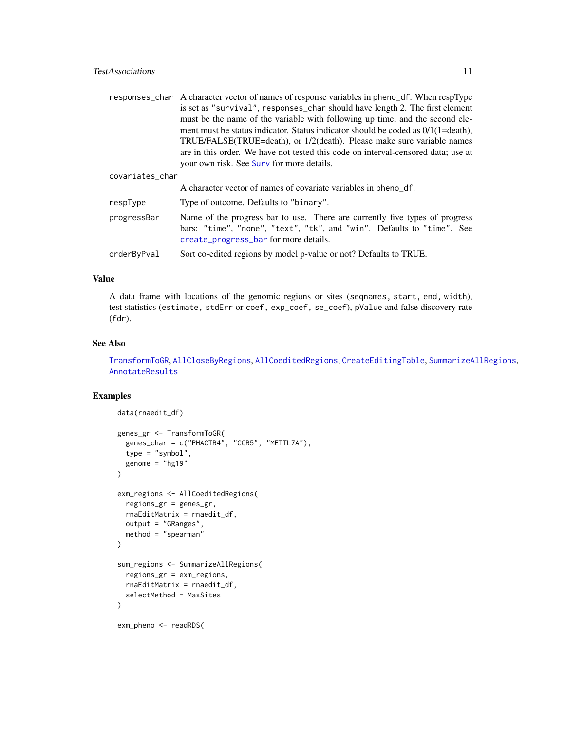<span id="page-10-0"></span>

|                 | responses_char A character vector of names of response variables in pheno_df. When respType                                                                                                    |
|-----------------|------------------------------------------------------------------------------------------------------------------------------------------------------------------------------------------------|
|                 | is set as "survival", responses_char should have length 2. The first element                                                                                                                   |
|                 | must be the name of the variable with following up time, and the second ele-                                                                                                                   |
|                 | ment must be status indicator. Status indicator should be coded as $0/1(1=$ death),                                                                                                            |
|                 | TRUE/FALSE(TRUE=death), or 1/2(death). Please make sure variable names                                                                                                                         |
|                 | are in this order. We have not tested this code on interval-censored data; use at                                                                                                              |
|                 | your own risk. See Surv for more details.                                                                                                                                                      |
| covariates_char |                                                                                                                                                                                                |
|                 | A character vector of names of covariate variables in pheno_df.                                                                                                                                |
| respType        | Type of outcome. Defaults to "binary".                                                                                                                                                         |
| progressBar     | Name of the progress bar to use. There are currently five types of progress<br>bars: "time", "none", "text", "tk", and "win". Defaults to "time". See<br>create_progress_bar for more details. |

orderByPval Sort co-edited regions by model p-value or not? Defaults to TRUE.

#### Value

A data frame with locations of the genomic regions or sites (seqnames, start, end, width), test statistics (estimate, stdErr or coef, exp\_coef, se\_coef), pValue and false discovery rate (fdr).

#### See Also

[TransformToGR](#page-11-1), [AllCloseByRegions](#page-1-1), [AllCoeditedRegions](#page-2-1), [CreateEditingTable](#page-6-1), [SummarizeAllRegions](#page-8-1), [AnnotateResults](#page-4-1)

#### Examples

```
data(rnaedit_df)
genes_gr <- TransformToGR(
 genes_char = c("PHACTR4", "CCR5", "METTL7A"),
 type = "symbol",
 genome = "hg19"
)
exm_regions <- AllCoeditedRegions(
 regions_gr = genes_gr,
 rnaEditMatrix = rnaedit_df,
 output = "GRanges",
 method = "spearman"
\lambdasum_regions <- SummarizeAllRegions(
 regions_gr = exm_regions,
 rnaEditMatrix = rnaedit_df,
 selectMethod = MaxSites
)
exm_pheno <- readRDS(
```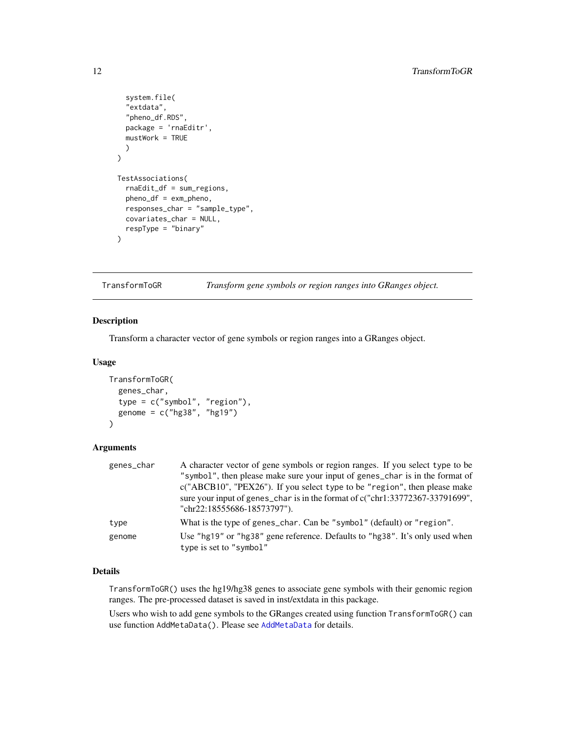```
system.file(
  "extdata",
  "pheno_df.RDS",
  package = 'rnaEditr',
 mustWork = TRUE
 )
\mathcal{L}TestAssociations(
  rnaEdit_df = sum_regions,
 pheno_df = exm_pheno,
 responses_char = "sample_type",
  covariates_char = NULL,
 respType = "binary"
)
```
<span id="page-11-1"></span>TransformToGR *Transform gene symbols or region ranges into GRanges object.*

#### Description

Transform a character vector of gene symbols or region ranges into a GRanges object.

#### Usage

```
TransformToGR(
  genes_char,
  type = c("symbol", "region"),
  genome = c("hg38", "hg19")
\mathcal{L}
```
### Arguments

| genes_char | A character vector of gene symbols or region ranges. If you select type to be<br>"symbol", then please make sure your input of genes_char is in the format of<br>c("ABCB10", "PEX26"). If you select type to be "region", then please make<br>sure your input of genes_char is in the format of c("chr1:33772367-33791699",<br>"chr22:18555686-18573797"). |
|------------|------------------------------------------------------------------------------------------------------------------------------------------------------------------------------------------------------------------------------------------------------------------------------------------------------------------------------------------------------------|
| type       | What is the type of genes_char. Can be "symbol" (default) or "region".                                                                                                                                                                                                                                                                                     |
| genome     | Use "hg19" or "hg38" gene reference. Defaults to "hg38". It's only used when<br>type is set to "symbol"                                                                                                                                                                                                                                                    |

#### Details

TransformToGR() uses the hg19/hg38 genes to associate gene symbols with their genomic region ranges. The pre-processed dataset is saved in inst/extdata in this package.

Users who wish to add gene symbols to the GRanges created using function TransformToGR() can use function AddMetaData(). Please see [AddMetaData](#page-0-0) for details.

<span id="page-11-0"></span>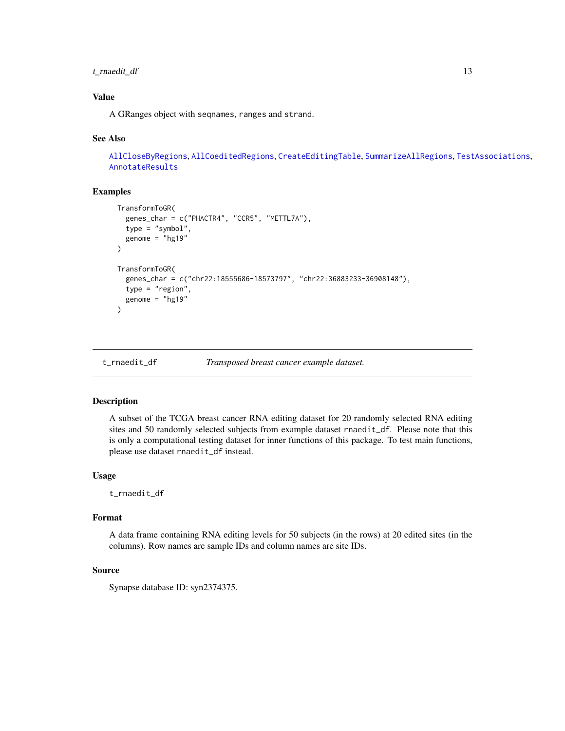#### <span id="page-12-0"></span>t\_rnaedit\_df 13

#### Value

A GRanges object with seqnames, ranges and strand.

#### See Also

[AllCloseByRegions](#page-1-1), [AllCoeditedRegions](#page-2-1), [CreateEditingTable](#page-6-1), [SummarizeAllRegions](#page-8-1), [TestAssociations](#page-9-1), [AnnotateResults](#page-4-1)

#### Examples

```
TransformToGR(
  genes_char = c("PHACTR4", "CCR5", "METTL7A"),
  type = "symbol",
  genome = "hg19")
TransformToGR(
  genes_char = c("chr22:18555686-18573797", "chr22:36883233-36908148"),
  type = "region",
  genome = "hg19"
)
```
t\_rnaedit\_df *Transposed breast cancer example dataset.*

#### Description

A subset of the TCGA breast cancer RNA editing dataset for 20 randomly selected RNA editing sites and 50 randomly selected subjects from example dataset rnaedit\_df. Please note that this is only a computational testing dataset for inner functions of this package. To test main functions, please use dataset rnaedit\_df instead.

#### Usage

t\_rnaedit\_df

#### Format

A data frame containing RNA editing levels for 50 subjects (in the rows) at 20 edited sites (in the columns). Row names are sample IDs and column names are site IDs.

#### Source

Synapse database ID: syn2374375.